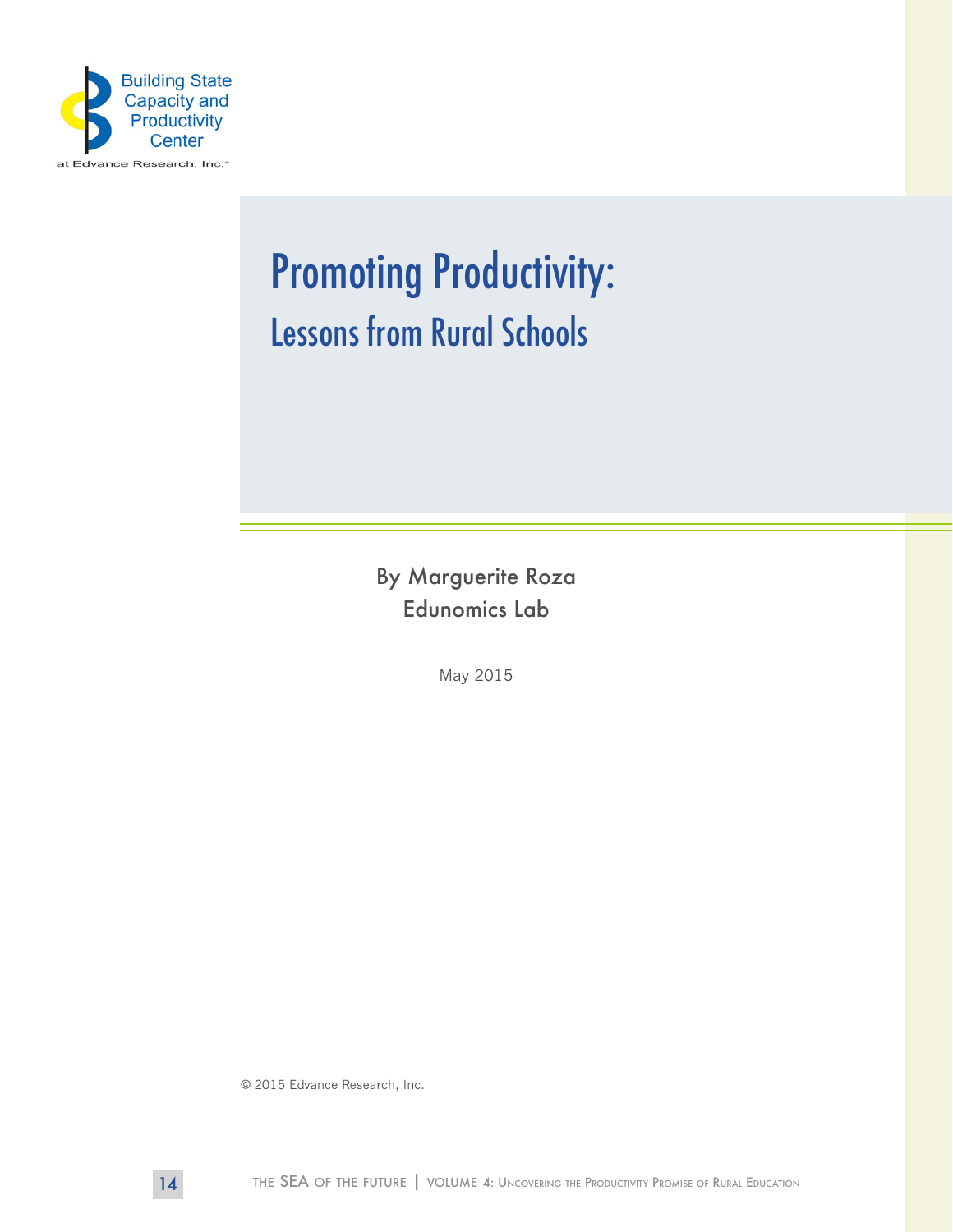

# Promoting Productivity: Lessons from Rural Schools

By Marguerite Roza Edunomics Lab

May 2015

© 2015 Edvance Research, Inc.

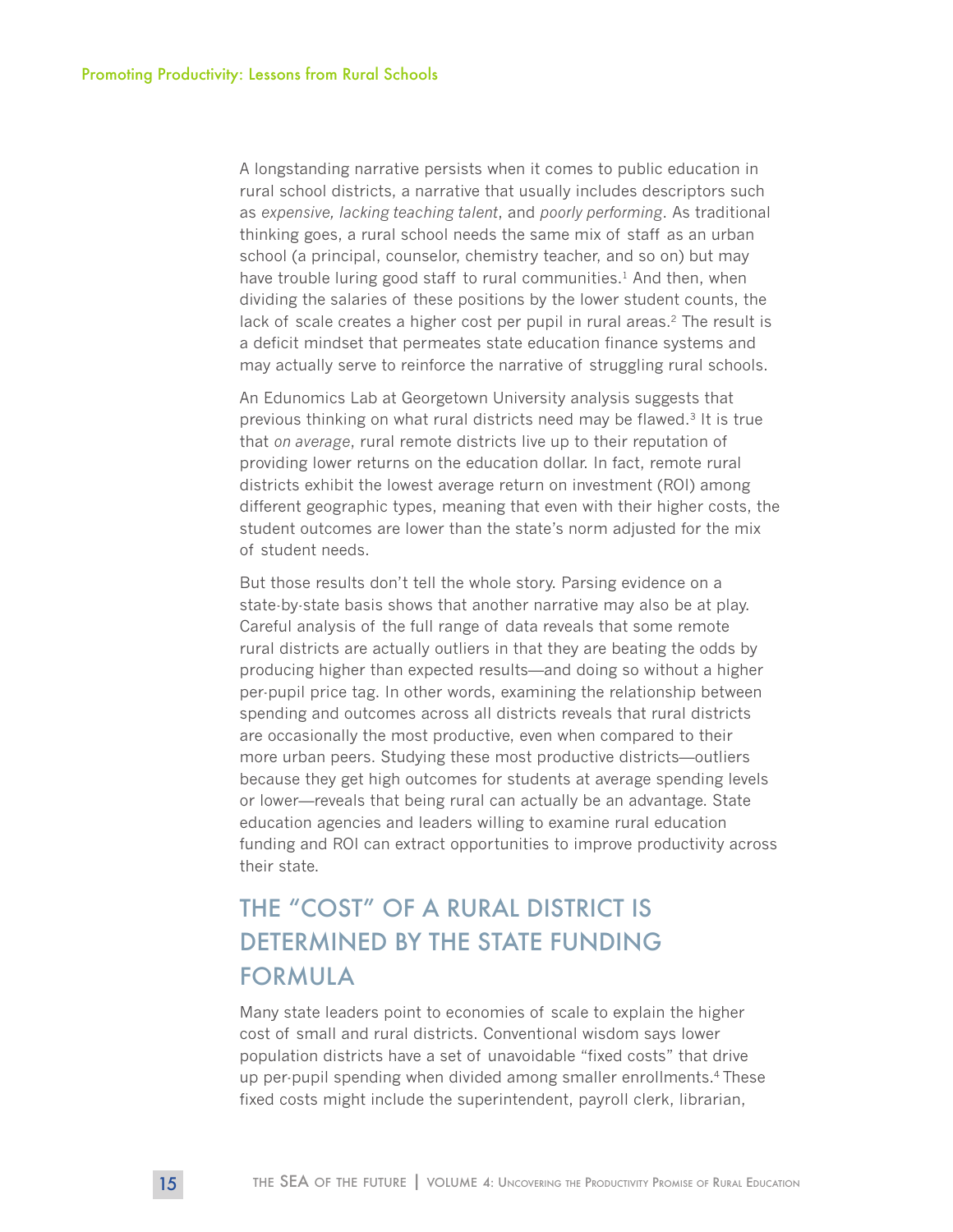A longstanding narrative persists when it comes to public education in rural school districts, a narrative that usually includes descriptors such as *expensive, lacking teaching talent*, and *poorly performing*. As traditional thinking goes, a rural school needs the same mix of staff as an urban school (a principal, counselor, chemistry teacher, and so on) but may have trouble luring good staff to rural communities.<sup>1</sup> And then, when dividing the salaries of these positions by the lower student counts, the lack of scale creates a higher cost per pupil in rural areas.<sup>2</sup> The result is a deficit mindset that permeates state education finance systems and may actually serve to reinforce the narrative of struggling rural schools.

An Edunomics Lab at Georgetown University analysis suggests that previous thinking on what rural districts need may be flawed.<sup>3</sup> It is true that *on average*, rural remote districts live up to their reputation of providing lower returns on the education dollar. In fact, remote rural districts exhibit the lowest average return on investment (ROI) among different geographic types, meaning that even with their higher costs, the student outcomes are lower than the state's norm adjusted for the mix of student needs.

But those results don't tell the whole story. Parsing evidence on a state-by-state basis shows that another narrative may also be at play. Careful analysis of the full range of data reveals that some remote rural districts are actually outliers in that they are beating the odds by producing higher than expected results—and doing so without a higher per-pupil price tag. In other words, examining the relationship between spending and outcomes across all districts reveals that rural districts are occasionally the most productive, even when compared to their more urban peers. Studying these most productive districts—outliers because they get high outcomes for students at average spending levels or lower—reveals that being rural can actually be an advantage. State education agencies and leaders willing to examine rural education funding and ROI can extract opportunities to improve productivity across their state.

# THE "COST" OF A RURAL DISTRICT IS DETERMINED BY THE STATE FUNDING FORMULA

Many state leaders point to economies of scale to explain the higher cost of small and rural districts. Conventional wisdom says lower population districts have a set of unavoidable "fixed costs" that drive up per-pupil spending when divided among smaller enrollments.4 These fixed costs might include the superintendent, payroll clerk, librarian,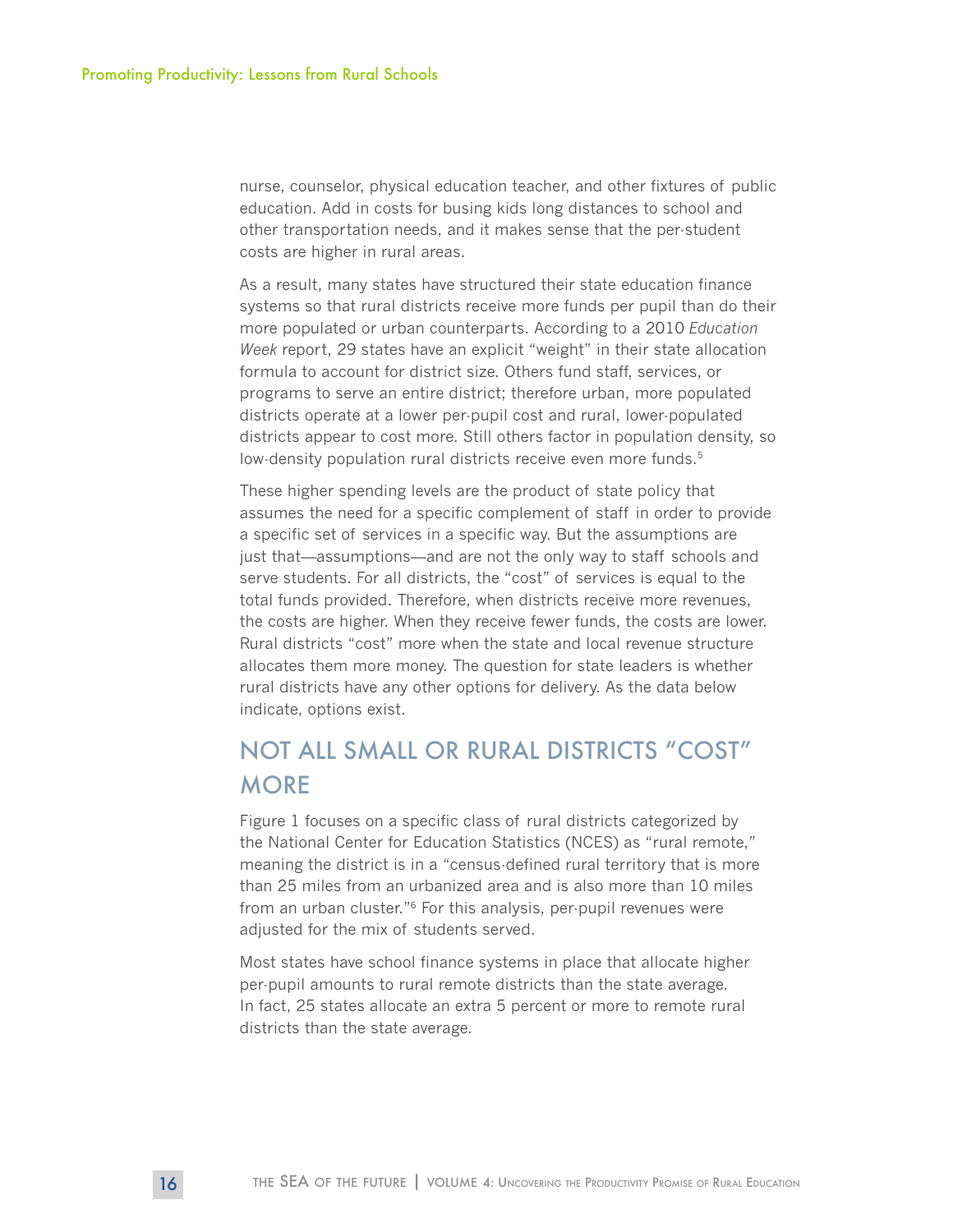nurse, counselor, physical education teacher, and other fixtures of public education. Add in costs for busing kids long distances to school and other transportation needs, and it makes sense that the per-student costs are higher in rural areas.

As a result, many states have structured their state education finance systems so that rural districts receive more funds per pupil than do their more populated or urban counterparts. According to a 2010 *Education Week* report, 29 states have an explicit "weight" in their state allocation formula to account for district size. Others fund staff, services, or programs to serve an entire district; therefore urban, more populated districts operate at a lower per-pupil cost and rural, lower-populated districts appear to cost more. Still others factor in population density, so low-density population rural districts receive even more funds.<sup>5</sup>

These higher spending levels are the product of state policy that assumes the need for a specific complement of staff in order to provide a specific set of services in a specific way. But the assumptions are just that—assumptions—and are not the only way to staff schools and serve students. For all districts, the "cost" of services is equal to the total funds provided. Therefore, when districts receive more revenues, the costs are higher. When they receive fewer funds, the costs are lower. Rural districts "cost" more when the state and local revenue structure allocates them more money. The question for state leaders is whether rural districts have any other options for delivery. As the data below indicate, options exist.

# NOT ALL SMALL OR RURAL DISTRICTS "COST" **MORE**

Figure 1 focuses on a specific class of rural districts categorized by the National Center for Education Statistics (NCES) as "rural remote," meaning the district is in a "census-defined rural territory that is more than 25 miles from an urbanized area and is also more than 10 miles from an urban cluster."6 For this analysis, per-pupil revenues were adjusted for the mix of students served.

Most states have school finance systems in place that allocate higher per-pupil amounts to rural remote districts than the state average. In fact, 25 states allocate an extra 5 percent or more to remote rural districts than the state average.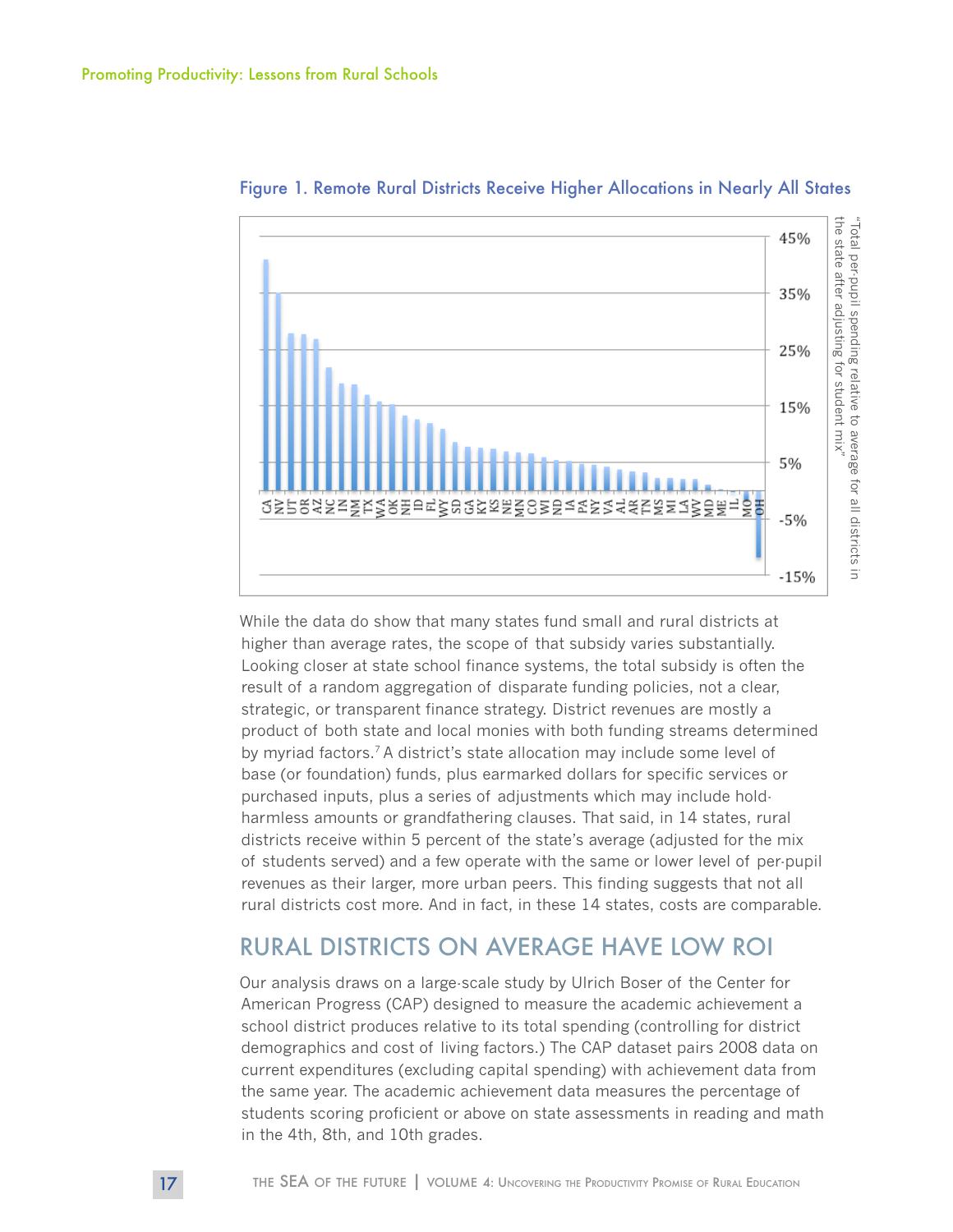

Figure 1. Remote Rural Districts Receive Higher Allocations in Nearly All States

While the data do show that many states fund small and rural districts at higher than average rates, the scope of that subsidy varies substantially. Looking closer at state school finance systems, the total subsidy is often the result of a random aggregation of disparate funding policies, not a clear, strategic, or transparent finance strategy. District revenues are mostly a product of both state and local monies with both funding streams determined by myriad factors.<sup>7</sup> A district's state allocation may include some level of base (or foundation) funds, plus earmarked dollars for specific services or purchased inputs, plus a series of adjustments which may include holdharmless amounts or grandfathering clauses. That said, in 14 states, rural districts receive within 5 percent of the state's average (adjusted for the mix of students served) and a few operate with the same or lower level of per-pupil revenues as their larger, more urban peers. This finding suggests that not all rural districts cost more. And in fact, in these 14 states, costs are comparable.

#### RURAL DISTRICTS ON AVERAGE HAVE LOW ROI

Our analysis draws on a large-scale study by Ulrich Boser of the Center for American Progress (CAP) designed to measure the academic achievement a school district produces relative to its total spending (controlling for district demographics and cost of living factors.) The CAP dataset pairs 2008 data on current expenditures (excluding capital spending) with achievement data from the same year. The academic achievement data measures the percentage of students scoring proficient or above on state assessments in reading and math in the 4th, 8th, and 10th grades.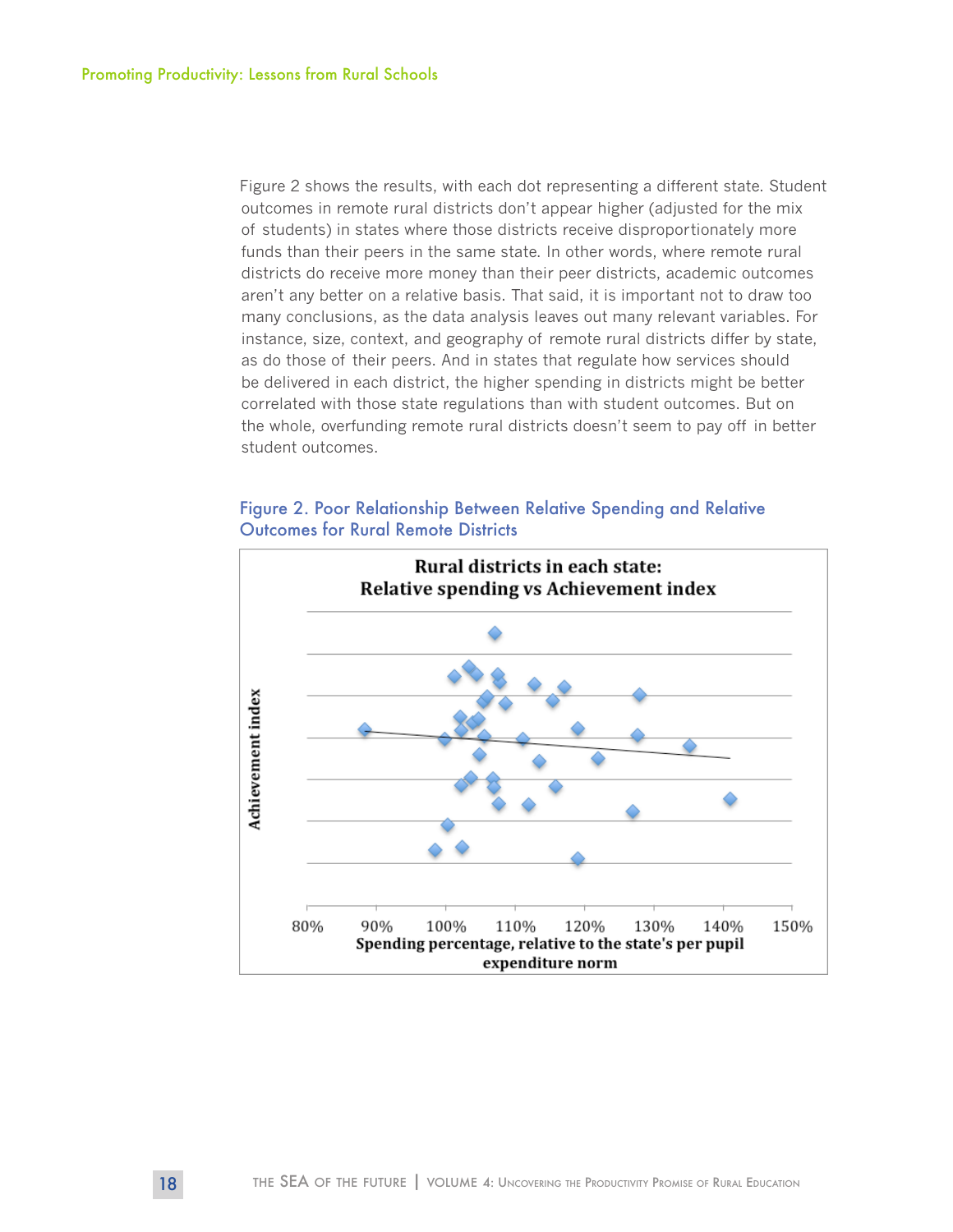Figure 2 shows the results, with each dot representing a different state. Student outcomes in remote rural districts don't appear higher (adjusted for the mix of students) in states where those districts receive disproportionately more funds than their peers in the same state. In other words, where remote rural districts do receive more money than their peer districts, academic outcomes aren't any better on a relative basis. That said, it is important not to draw too many conclusions, as the data analysis leaves out many relevant variables. For instance, size, context, and geography of remote rural districts differ by state, as do those of their peers. And in states that regulate how services should be delivered in each district, the higher spending in districts might be better correlated with those state regulations than with student outcomes. But on the whole, overfunding remote rural districts doesn't seem to pay off in better student outcomes.

#### Figure 2. Poor Relationship Between Relative Spending and Relative Outcomes for Rural Remote Districts

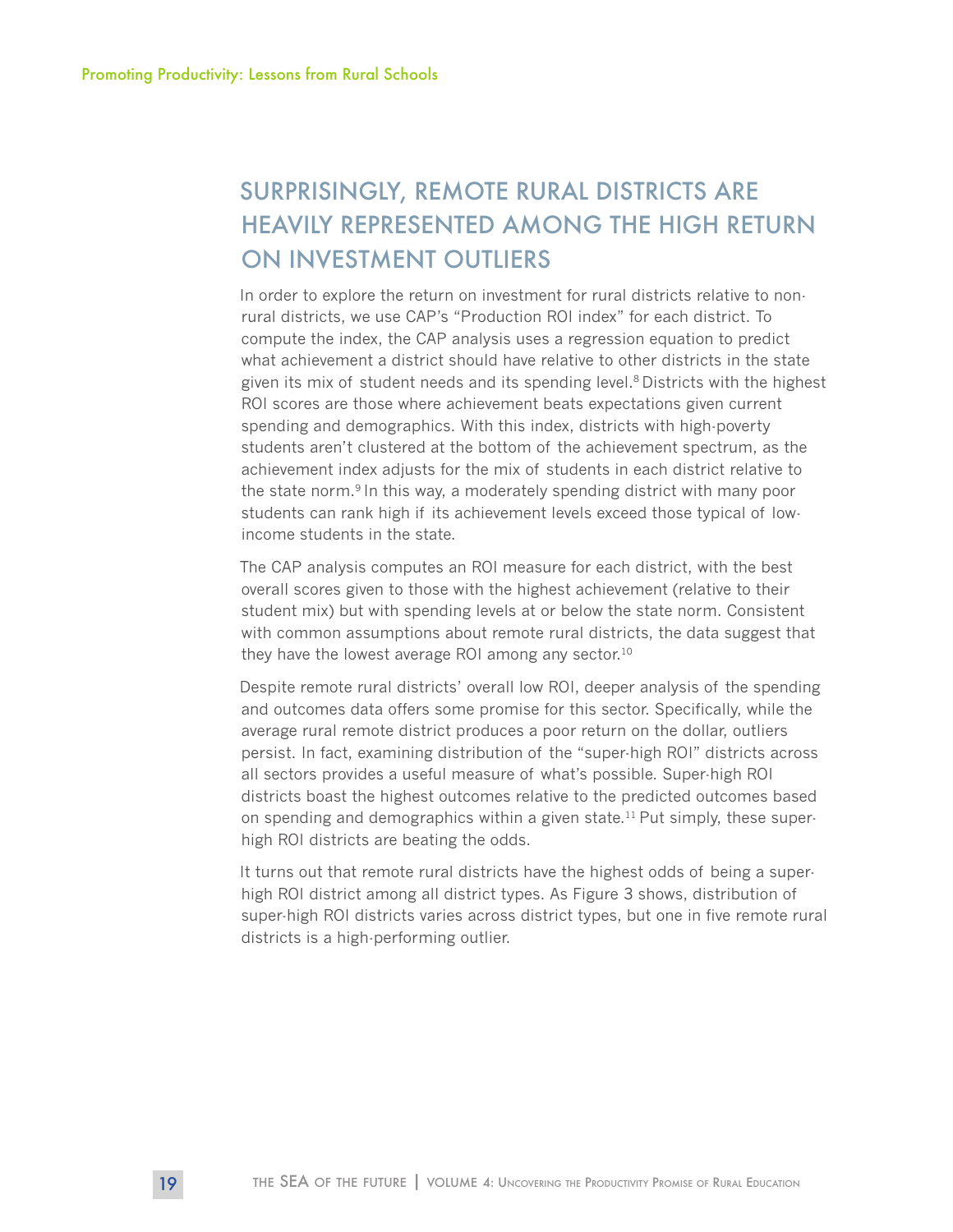# SURPRISINGLY, REMOTE RURAL DISTRICTS ARE HEAVILY REPRESENTED AMONG THE HIGH RETURN ON INVESTMENT OUTLIERS

In order to explore the return on investment for rural districts relative to nonrural districts, we use CAP's "Production ROI index" for each district. To compute the index, the CAP analysis uses a regression equation to predict what achievement a district should have relative to other districts in the state given its mix of student needs and its spending level.<sup>8</sup> Districts with the highest ROI scores are those where achievement beats expectations given current spending and demographics. With this index, districts with high-poverty students aren't clustered at the bottom of the achievement spectrum, as the achievement index adjusts for the mix of students in each district relative to the state norm.9 In this way, a moderately spending district with many poor students can rank high if its achievement levels exceed those typical of lowincome students in the state.

The CAP analysis computes an ROI measure for each district, with the best overall scores given to those with the highest achievement (relative to their student mix) but with spending levels at or below the state norm. Consistent with common assumptions about remote rural districts, the data suggest that they have the lowest average ROI among any sector.<sup>10</sup>

Despite remote rural districts' overall low ROI, deeper analysis of the spending and outcomes data offers some promise for this sector. Specifically, while the average rural remote district produces a poor return on the dollar, outliers persist. In fact, examining distribution of the "super-high ROI" districts across all sectors provides a useful measure of what's possible. Super-high ROI districts boast the highest outcomes relative to the predicted outcomes based on spending and demographics within a given state.<sup>11</sup> Put simply, these superhigh ROI districts are beating the odds.

It turns out that remote rural districts have the highest odds of being a superhigh ROI district among all district types. As Figure 3 shows, distribution of super-high ROI districts varies across district types, but one in five remote rural districts is a high-performing outlier.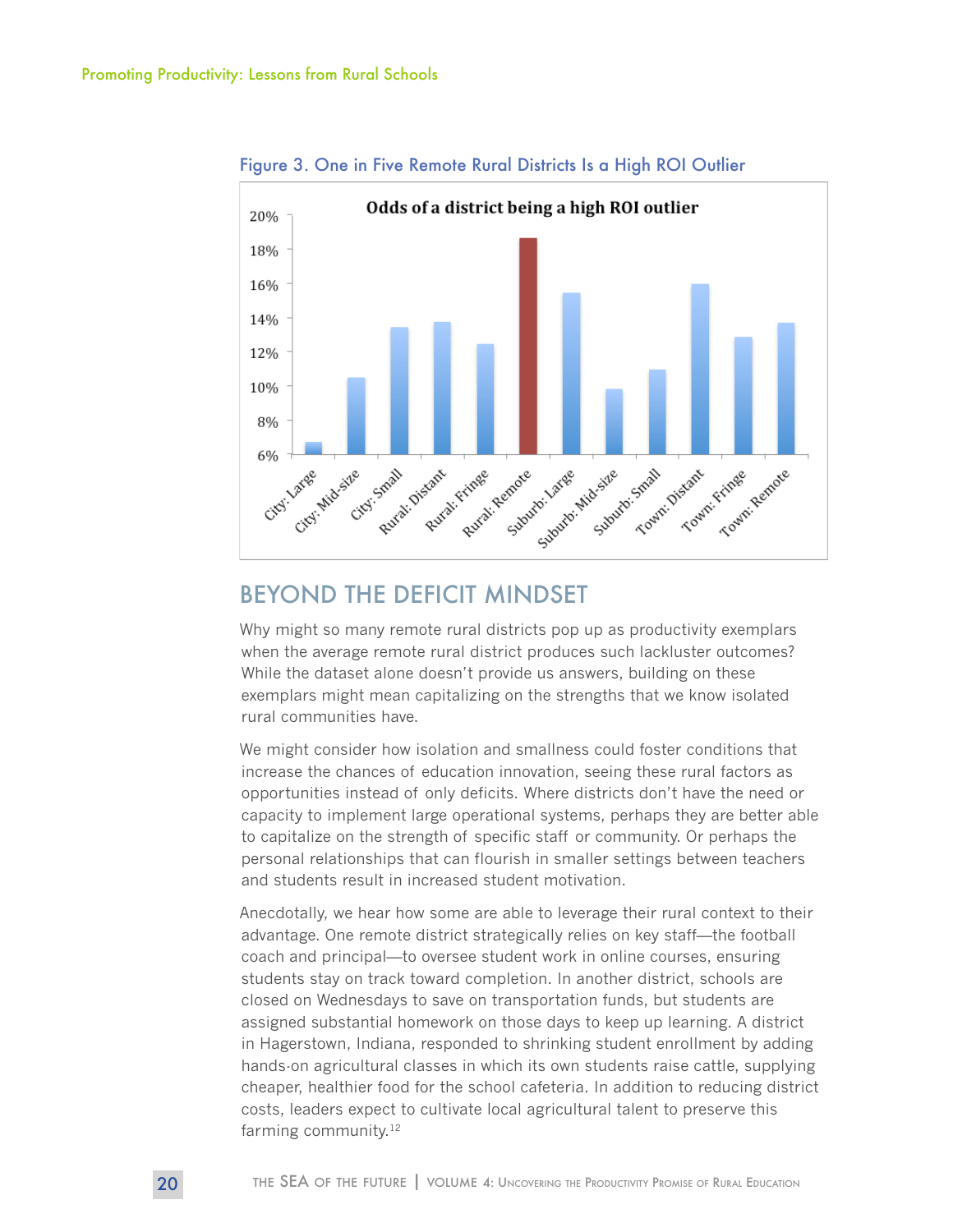

Figure 3. One in Five Remote Rural Districts Is a High ROI Outlier

## BEYOND THE DEFICIT MINDSET

Why might so many remote rural districts pop up as productivity exemplars when the average remote rural district produces such lackluster outcomes? While the dataset alone doesn't provide us answers, building on these exemplars might mean capitalizing on the strengths that we know isolated rural communities have.

We might consider how isolation and smallness could foster conditions that increase the chances of education innovation, seeing these rural factors as opportunities instead of only deficits. Where districts don't have the need or capacity to implement large operational systems, perhaps they are better able to capitalize on the strength of specific staff or community. Or perhaps the personal relationships that can flourish in smaller settings between teachers and students result in increased student motivation.

Anecdotally, we hear how some are able to leverage their rural context to their advantage. One remote district strategically relies on key staff—the football coach and principal—to oversee student work in online courses, ensuring students stay on track toward completion. In another district, schools are closed on Wednesdays to save on transportation funds, but students are assigned substantial homework on those days to keep up learning. A district in Hagerstown, Indiana, responded to shrinking student enrollment by adding hands-on agricultural classes in which its own students raise cattle, supplying cheaper, healthier food for the school cafeteria. In addition to reducing district costs, leaders expect to cultivate local agricultural talent to preserve this farming community.<sup>12</sup>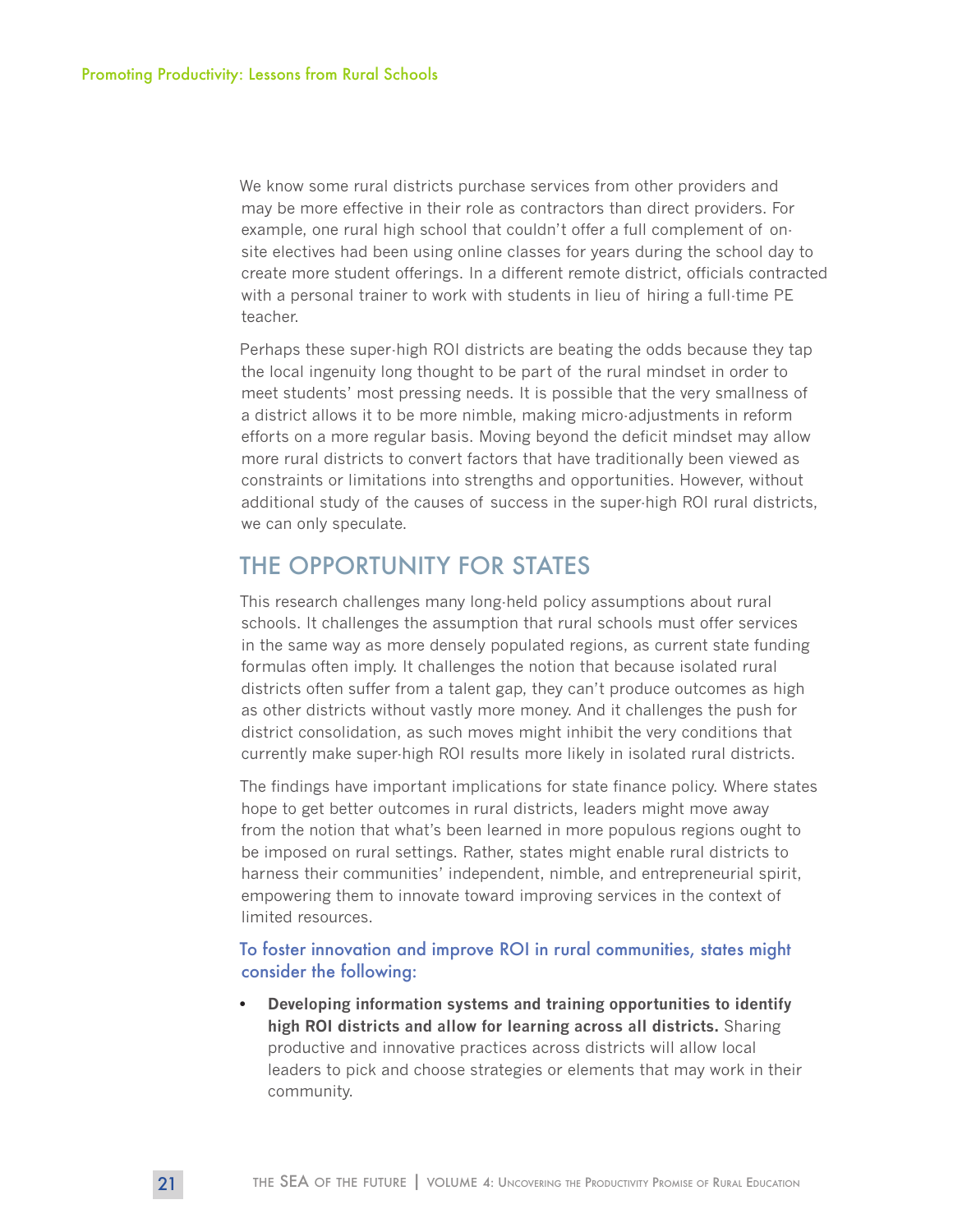We know some rural districts purchase services from other providers and may be more effective in their role as contractors than direct providers. For example, one rural high school that couldn't offer a full complement of onsite electives had been using online classes for years during the school day to create more student offerings. In a different remote district, officials contracted with a personal trainer to work with students in lieu of hiring a full-time PE teacher.

Perhaps these super-high ROI districts are beating the odds because they tap the local ingenuity long thought to be part of the rural mindset in order to meet students' most pressing needs. It is possible that the very smallness of a district allows it to be more nimble, making micro-adjustments in reform efforts on a more regular basis. Moving beyond the deficit mindset may allow more rural districts to convert factors that have traditionally been viewed as constraints or limitations into strengths and opportunities. However, without additional study of the causes of success in the super-high ROI rural districts, we can only speculate.

### THE OPPORTUNITY FOR STATES

This research challenges many long-held policy assumptions about rural schools. It challenges the assumption that rural schools must offer services in the same way as more densely populated regions, as current state funding formulas often imply. It challenges the notion that because isolated rural districts often suffer from a talent gap, they can't produce outcomes as high as other districts without vastly more money. And it challenges the push for district consolidation, as such moves might inhibit the very conditions that currently make super-high ROI results more likely in isolated rural districts.

The findings have important implications for state finance policy. Where states hope to get better outcomes in rural districts, leaders might move away from the notion that what's been learned in more populous regions ought to be imposed on rural settings. Rather, states might enable rural districts to harness their communities' independent, nimble, and entrepreneurial spirit, empowering them to innovate toward improving services in the context of limited resources.

#### To foster innovation and improve ROI in rural communities, states might consider the following:

**• Developing information systems and training opportunities to identify high ROI districts and allow for learning across all districts.** Sharing productive and innovative practices across districts will allow local leaders to pick and choose strategies or elements that may work in their community.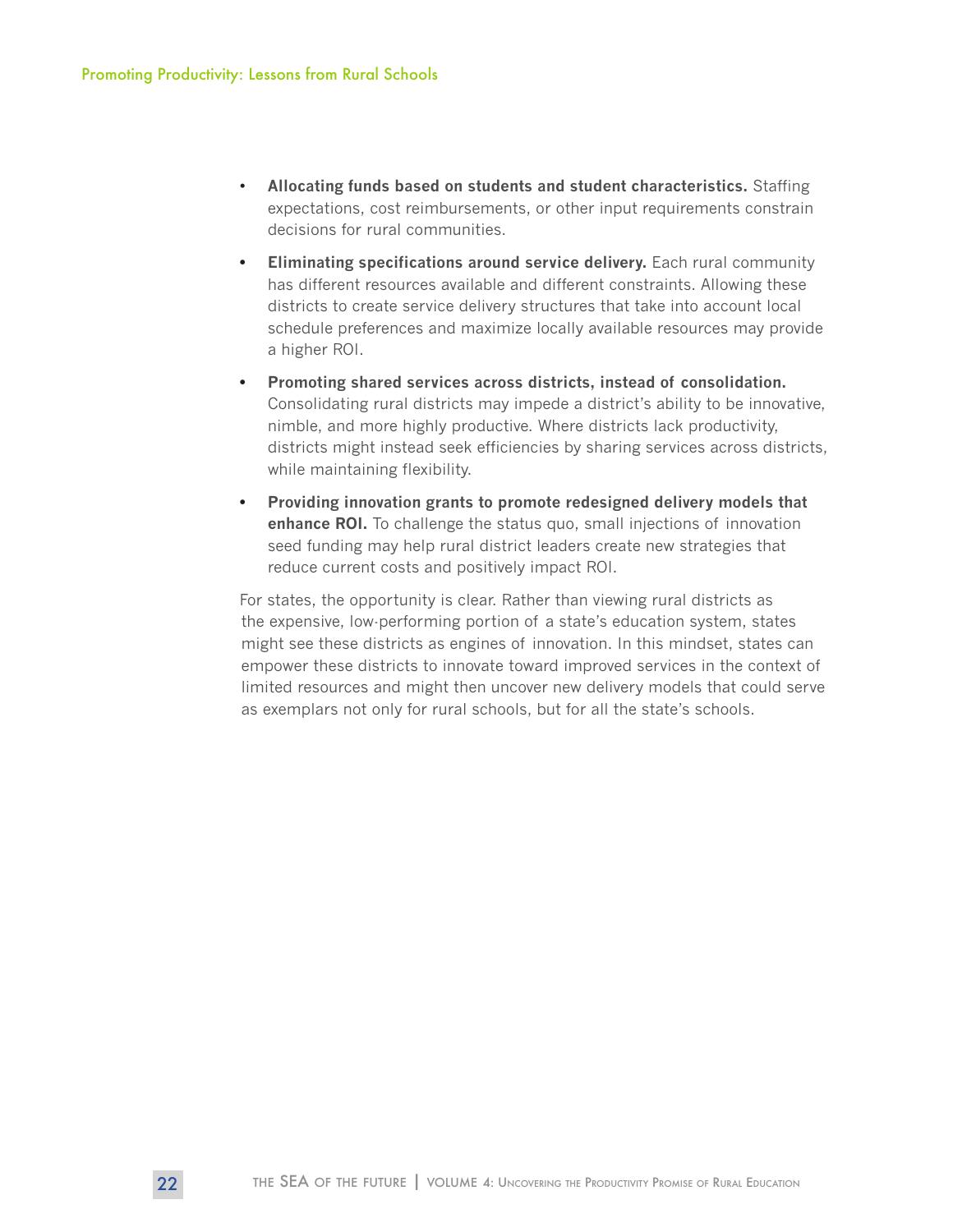- **Allocating funds based on students and student characteristics.** Staffing expectations, cost reimbursements, or other input requirements constrain decisions for rural communities.
- **• Eliminating specifications around service delivery.** Each rural community has different resources available and different constraints. Allowing these districts to create service delivery structures that take into account local schedule preferences and maximize locally available resources may provide a higher ROI.
- **• Promoting shared services across districts, instead of consolidation.** Consolidating rural districts may impede a district's ability to be innovative, nimble, and more highly productive. Where districts lack productivity, districts might instead seek efficiencies by sharing services across districts, while maintaining flexibility.
- **• Providing innovation grants to promote redesigned delivery models that enhance ROI.** To challenge the status quo, small injections of innovation seed funding may help rural district leaders create new strategies that reduce current costs and positively impact ROI.

For states, the opportunity is clear. Rather than viewing rural districts as the expensive, low-performing portion of a state's education system, states might see these districts as engines of innovation. In this mindset, states can empower these districts to innovate toward improved services in the context of limited resources and might then uncover new delivery models that could serve as exemplars not only for rural schools, but for all the state's schools.